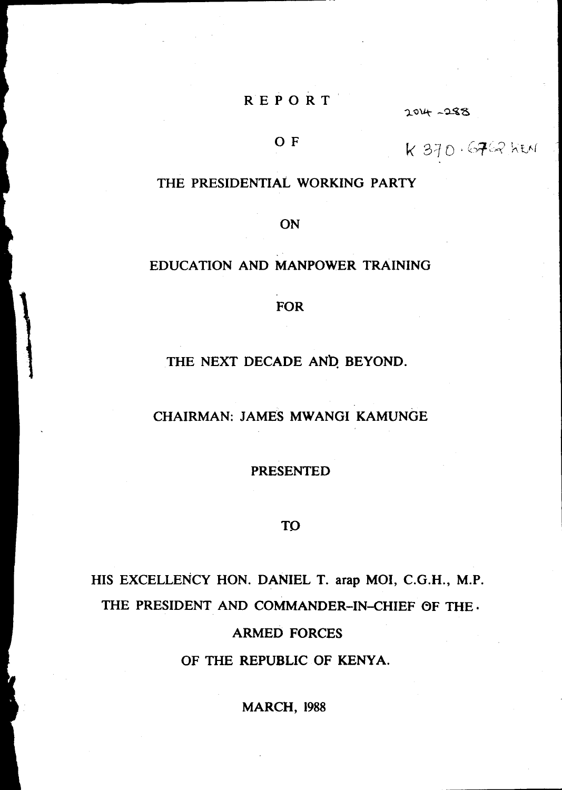## REPORT

204 - 288

### OF<sub>1</sub>

 $K$  370. 6762 herr

### THE PRESIDENTIAL WORKING PARTY

**ON** 

### EDUCATION AND MANPOWER TRAINING

FOR

## THE NEXT DECADE AND BEYOND.

I

## CHAIRMAN: JAMES MWANGI KAMUNGE

PRESENTED

TO

# HIS EXCELLENCY HON. DANIEL T. arap MOI, C.G.H., M.P. THE PRESIDENT AND COMMANDER-IN-CHIEF OF THE.

### ARMED FORCES

### OF THE REPUBLIC OF KENYA.

MARCH, 1988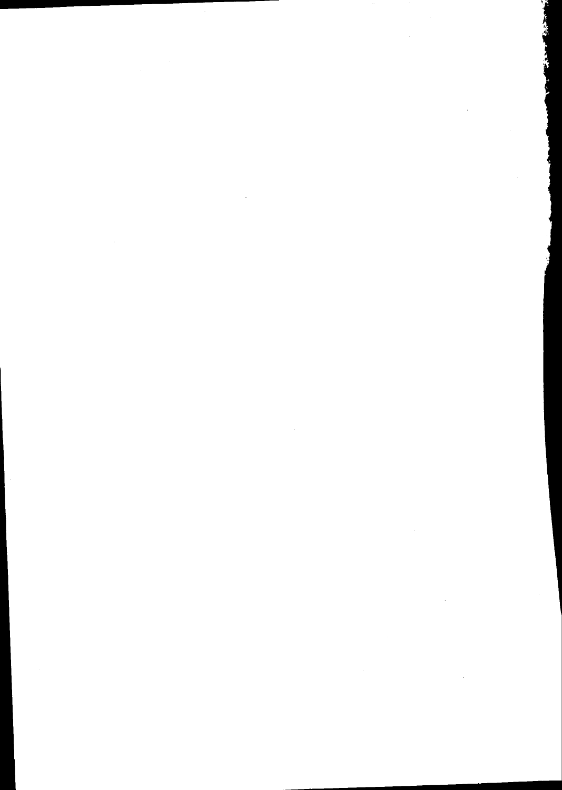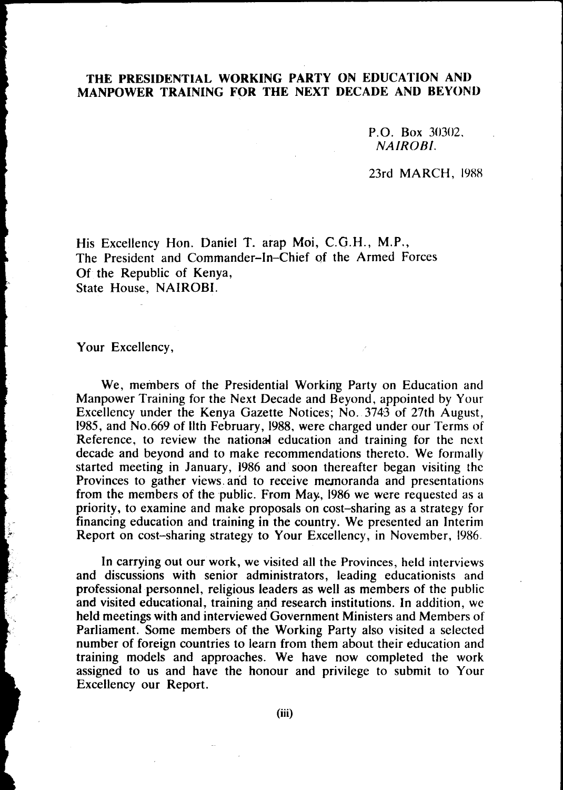### THE PRESIDENTIAL WORKING PARTY ON EDUCATION AND MANPOWER TRAINING FOR THE NEXT DECADE AND BEYOND

P.O. Box 30302. NAIROBI.

#### 23rd MARCH, 1988

His Excellency Hon. Daniel T. arap Moi, C.G.H., M.P., The President and Commander-ln-Chief qf the Armed Forces Of the Republic of Kenya, State House, NAIROBI.

Your Excellency,

We, members of the Presidential Working Party on Education and Manpower Training for the Next Decade and Beyond, appointed by Your Excellency under the Kenya Gazette Notices; No. 3743 of 27th August, 1985, and No.669 of llth February, 1988, were charged under our Terms of Reference, to review the national education and training for the next decade and beyond and to make recommendations thereto. We fonnally started meeting in January, 1986 and soon thereafter began visiting thc Provinces to gather views.and to receive memoranda and presentations from the members of the public. From May., 1986 we were requested as a priority, to examine and make proposals on cost-sharing as a strategy for financing education and training in the country. We presented an Interim Report on cost-sharing strategy to Your Excellency, in November, 1986.

ln carrying out our work, we visited all the Provinces, held interviews and discussions with senior administrators, leading educationists and professional personnel, religious leaders as well as members of the public and visited educational, training and research institutions. In addition, we held meetings with and interviewed Government Ministers and Members of Parliament. Some members of the Working Party also visited a selected number of foreign countries to learn from them about their education and training models and approaches. We have now completed the work assigned to us and have the honour and privilege to submit to Your Excellency our Report.